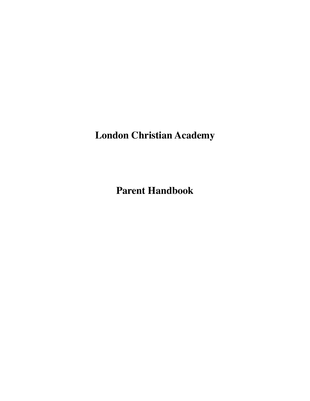**London Christian Academy**

**Parent Handbook**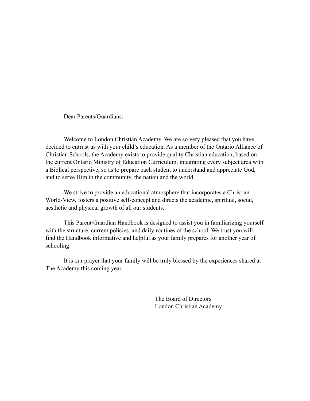Dear Parents/Guardians:

 Welcome to London Christian Academy. We are so very pleased that you have decided to entrust us with your child's education. As a member of the Ontario Alliance of Christian Schools, the Academy exists to provide quality Christian education, based on the current Ontario Ministry of Education Curriculum, integrating every subject area with a Biblical perspective, so as to prepare each student to understand and appreciate God, and to serve Him in the community, the nation and the world.

 We strive to provide an educational atmosphere that incorporates a Christian World-View, fosters a positive self-concept and directs the academic, spiritual, social, aesthetic and physical growth of all our students.

 This Parent/Guardian Handbook is designed to assist you in familiarizing yourself with the structure, current policies, and daily routines of the school. We trust you will find the Handbook informative and helpful as your family prepares for another year of schooling.

 It is our prayer that your family will be truly blessed by the experiences shared at The Academy this coming year.

> The Board of Directors London Christian Academy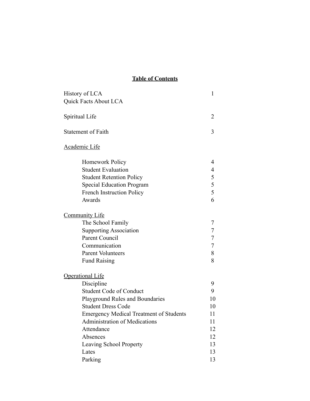# **Table of Contents**

| History of LCA                                 | 1  |
|------------------------------------------------|----|
| Quick Facts About LCA                          |    |
| Spiritual Life                                 | 2  |
| <b>Statement of Faith</b>                      | 3  |
| Academic Life                                  |    |
| Homework Policy                                | 4  |
| <b>Student Evaluation</b>                      | 4  |
| <b>Student Retention Policy</b>                | 5  |
| <b>Special Education Program</b>               | 5  |
| <b>French Instruction Policy</b>               | 5  |
| Awards                                         | 6  |
| <b>Community Life</b>                          |    |
| The School Family                              | 7  |
| <b>Supporting Association</b>                  | 7  |
| Parent Council                                 | 7  |
| Communication                                  | 7  |
| <b>Parent Volunteers</b>                       | 8  |
| <b>Fund Raising</b>                            | 8  |
| <b>Operational Life</b>                        |    |
| Discipline                                     | 9  |
| <b>Student Code of Conduct</b>                 | 9  |
| Playground Rules and Boundaries                | 10 |
| <b>Student Dress Code</b>                      | 10 |
| <b>Emergency Medical Treatment of Students</b> | 11 |
| <b>Administration of Medications</b>           | 11 |
| Attendance                                     | 12 |
| Absences                                       | 12 |
| Leaving School Property                        | 13 |
| Lates                                          | 13 |
| Parking                                        | 13 |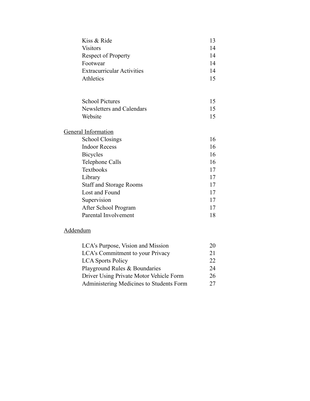| Kiss & Ride                       | 13 |
|-----------------------------------|----|
| <b>Visitors</b>                   | 14 |
| <b>Respect of Property</b>        | 14 |
| Footwear                          | 14 |
| <b>Extracurricular Activities</b> | 14 |
| Athletics                         | 15 |
|                                   |    |
| <b>School Pictures</b>            | 15 |
| Newsletters and Calendars         | 15 |
| Website                           | 15 |
| General Information               |    |
| <b>School Closings</b>            | 16 |
| <b>Indoor Recess</b>              | 16 |
| <b>Bicycles</b>                   | 16 |
| Telephone Calls                   | 16 |
| Textbooks                         | 17 |
| Library                           | 17 |
| <b>Staff and Storage Rooms</b>    | 17 |
| Lost and Found                    | 17 |
| Supervision                       | 17 |
| After School Program              | 17 |
| Parental Involvement              | 18 |

# Addendum

| LCA's Purpose, Vision and Mission        | 20 |
|------------------------------------------|----|
| LCA's Commitment to your Privacy         | 21 |
| <b>LCA</b> Sports Policy                 | 22 |
| Playground Rules & Boundaries            | 24 |
| Driver Using Private Motor Vehicle Form  | 26 |
| Administering Medicines to Students Form | 27 |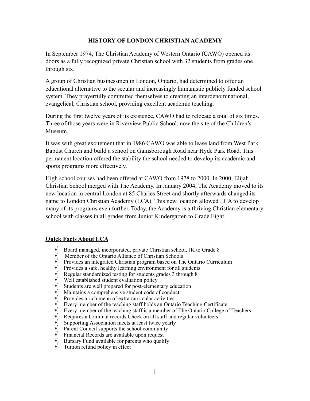## **HISTORY OF LONDON CHRISTIAN ACADEMY**

In September 1974, The Christian Academy of Western Ontario (CAWO) opened its doors as a fully recognized private Christian school with 32 students from grades one through six.

A group of Christian businessmen in London, Ontario, had determined to offer an educational alternative to the secular and increasingly humanistic publicly funded school system. They prayerfully committed themselves to creating an interdenominational, evangelical, Christian school, providing excellent academic teaching.

During the first twelve years of its existence, CAWO had to relocate a total of six times. Three of those years were in Riverview Public School, now the site of the Children's Museum.

It was with great excitement that in 1986 CAWO was able to lease land from West Park Baptist Church and build a school on Gainsborough Road near Hyde Park Road. This permanent location offered the stability the school needed to develop its academic and sports programs more effectively.

High school courses had been offered at CAWO from 1978 to 2000. In 2000, Elijah Christian School merged with The Academy. In January 2004, The Academy moved to its new location in central London at 85 Charles Street and shortly afterwards changed its name to London Christian Academy (LCA). This new location allowed LCA to develop many of its programs even further. Today, the Academy is a thriving Christian elementary school with classes in all grades from Junior Kindergarten to Grade Eight.

#### **Quick Facts About LCA**

- √ Board managed, incorporated, private Christian school, JK to Grade 8
- √ Member of the Ontario Alliance of Christian Schools
- √ Provides an integrated Christian program based on The Ontario Curriculum
- √ Provides a safe, healthy learning environment for all students
- √ Regular standardized testing for students grades 3 through 8
- √ Well established student evaluation policy
- $\sqrt{\frac{1}{\sqrt{1}}\}$  Students are well prepared for post-elementary education  $\sqrt{\frac{1}{\sqrt{1}}\}}$  Maintains a comprehensive student code of conduct
- $\sqrt{\frac{1}{\sqrt{\pi}}}$  Maintains a comprehensive student code of conduct  $\sqrt{\frac{1}{\pi}}$  Provides a rich menu of extra-curricular activities
- $\sqrt{\frac{1}{\sqrt{\pi}}}$  Provides a rich menu of extra-curricular activities  $\sqrt{\frac{1}{\pi}}$  Every member of the teaching staff holds an Ontar
- Every member of the teaching staff holds an Ontario Teaching Certificate
- √ Every member of the teaching staff is a member of The Ontario College of Teachers
- √ Requires a Criminal records Check on all staff and regular volunteers
- √ Supporting Association meets at least twice yearly
- √ Parent Council supports the school community
- √ Financial Records are available upon request
- $\sqrt{\phantom{a}}$  Bursary Fund available for parents who qualify
- √ Tuition refund policy in effect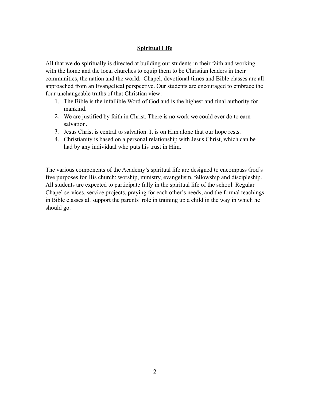## **Spiritual Life**

All that we do spiritually is directed at building our students in their faith and working with the home and the local churches to equip them to be Christian leaders in their communities, the nation and the world. Chapel, devotional times and Bible classes are all approached from an Evangelical perspective. Our students are encouraged to embrace the four unchangeable truths of that Christian view:

- 1. The Bible is the infallible Word of God and is the highest and final authority for mankind.
- 2. We are justified by faith in Christ. There is no work we could ever do to earn salvation.
- 3. Jesus Christ is central to salvation. It is on Him alone that our hope rests.
- 4. Christianity is based on a personal relationship with Jesus Christ, which can be had by any individual who puts his trust in Him.

The various components of the Academy's spiritual life are designed to encompass God's five purposes for His church: worship, ministry, evangelism, fellowship and discipleship. All students are expected to participate fully in the spiritual life of the school. Regular Chapel services, service projects, praying for each other's needs, and the formal teachings in Bible classes all support the parents' role in training up a child in the way in which he should go.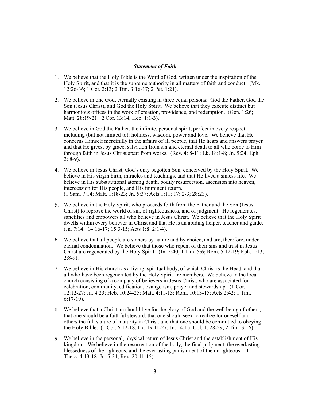#### *Statement of Faith*

- 1. We believe that the Holy Bible is the Word of God, written under the inspiration of the Holy Spirit, and that it is the supreme authority in all matters of faith and conduct. (Mk. 12:26-36; 1 Cor. 2:13; 2 Tim. 3:16-17; 2 Pet. 1:21).
- 2. We believe in one God, eternally existing in three equal persons: God the Father, God the Son (Jesus Christ), and God the Holy Spirit. We believe that they execute distinct but harmonious offices in the work of creation, providence, and redemption. (Gen. 1:26; Matt. 28:19-21; 2 Cor. 13:14; Heb. 1:1-3).
- 3. We believe in God the Father, the infinite, personal spirit, perfect in every respect including (but not limited to): holiness, wisdom, power and love. We believe that He concerns Himself mercifully in the affairs of all people, that He hears and answers prayer, and that He gives, by grace, salvation from sin and eternal death to all who come to Him through faith in Jesus Christ apart from works. (Rev. 4: 8-11; Lk. 18:1-8; Jn. 5:24; Eph.  $2: 8-9$ ).
- 4. We believe in Jesus Christ, God's only begotten Son, conceived by the Holy Spirit. We believe in His virgin birth, miracles and teachings, and that He lived a sinless life. We believe in His substitutional atoning death, bodily resurrection, ascension into heaven, intercession for His people, and His imminent return. (1 Sam. 7:14; Matt. 1:18-23; Jn. 5:37; Acts 1:11; 17: 2-3; 28:23).
- 5. We believe in the Holy Spirit, who proceeds forth from the Father and the Son (Jesus Christ) to reprove the world of sin, of righteousness, and of judgment. He regenerates, sanctifies and empowers all who believe in Jesus Christ. We believe that the Holy Spirit dwells within every believer in Christ and that He is an abiding helper, teacher and guide. (Jn. 7:14; 14:16-17; 15:3-15; Acts 1:8; 2:1-4).
- 6. We believe that all people are sinners by nature and by choice, and are, therefore, under eternal condemnation. We believe that those who repent of their sins and trust in Jesus Christ are regenerated by the Holy Spirit.  $(Jn. 5:40; 1 Tim. 5:6; Rom. 5:12-19; Eph. 1:13;$  $2:8-9$ ).
- 7. We believe in His church as a living, spiritual body, of which Christ is the Head, and that all who have been regenerated by the Holy Spirit are members. We believe in the local church consisting of a company of believers in Jesus Christ, who are associated for celebration, community, edification, evangelism, prayer and stewardship. (1 Cor. 12:12-27; Jn. 4:23; Heb. 10:24-25; Matt. 4:11-13; Rom. 10:13-15; Acts 2:42; 1 Tim. 6:17-19).
- 8. We believe that a Christian should live for the glory of God and the well being of others, that one should be a faithful steward, that one should seek to realize for oneself and others the full stature of maturity in Christ, and that one should be committed to obeying the Holy Bible. (1 Cor. 6:12-18; Lk. 19:11-27; Jn. 14:15; Col. 1: 28-29; 2 Tim. 3:16).
- 9. We believe in the personal, physical return of Jesus Christ and the establishment of His kingdom. We believe in the resurrection of the body, the final judgment, the everlasting blessedness of the righteous, and the everlasting punishment of the unrighteous. (1 Thess. 4:13-18; Jn. 5:24; Rev. 20:11-15).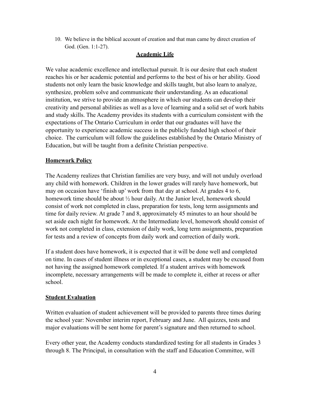10. We believe in the biblical account of creation and that man came by direct creation of God. (Gen. 1:1-27).

## **Academic Life**

We value academic excellence and intellectual pursuit. It is our desire that each student reaches his or her academic potential and performs to the best of his or her ability. Good students not only learn the basic knowledge and skills taught, but also learn to analyze, synthesize, problem solve and communicate their understanding. As an educational institution, we strive to provide an atmosphere in which our students can develop their creativity and personal abilities as well as a love of learning and a solid set of work habits and study skills. The Academy provides its students with a curriculum consistent with the expectations of The Ontario Curriculum in order that our graduates will have the opportunity to experience academic success in the publicly funded high school of their choice. The curriculum will follow the guidelines established by the Ontario Ministry of Education, but will be taught from a definite Christian perspective.

## **Homework Policy**

The Academy realizes that Christian families are very busy, and will not unduly overload any child with homework. Children in the lower grades will rarely have homework, but may on occasion have 'finish up' work from that day at school. At grades 4 to 6, homework time should be about ½ hour daily. At the Junior level, homework should consist of work not completed in class, preparation for tests, long term assignments and time for daily review. At grade 7 and 8, approximately 45 minutes to an hour should be set aside each night for homework. At the Intermediate level, homework should consist of work not completed in class, extension of daily work, long term assignments, preparation for tests and a review of concepts from daily work and correction of daily work.

If a student does have homework, it is expected that it will be done well and completed on time. In cases of student illness or in exceptional cases, a student may be excused from not having the assigned homework completed. If a student arrives with homework incomplete, necessary arrangements will be made to complete it, either at recess or after school.

## **Student Evaluation**

Written evaluation of student achievement will be provided to parents three times during the school year: November interim report, February and June. All quizzes, tests and major evaluations will be sent home for parent's signature and then returned to school.

Every other year, the Academy conducts standardized testing for all students in Grades 3 through 8. The Principal, in consultation with the staff and Education Committee, will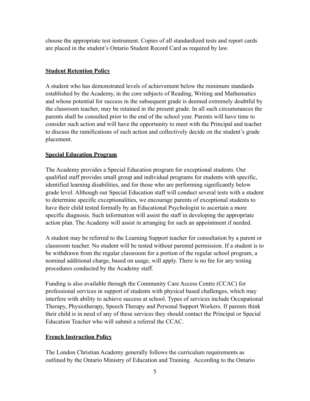choose the appropriate test instrument. Copies of all standardized tests and report cards are placed in the student's Ontario Student Record Card as required by law.

## **Student Retention Policy**

A student who has demonstrated levels of achievement below the minimum standards established by the Academy, in the core subjects of Reading, Writing and Mathematics and whose potential for success in the subsequent grade is deemed extremely doubtful by the classroom teacher, may be retained in the present grade. In all such circumstances the parents shall be consulted prior to the end of the school year. Parents will have time to consider such action and will have the opportunity to meet with the Principal and teacher to discuss the ramifications of such action and collectively decide on the student's grade placement.

## **Special Education Program**

The Academy provides a Special Education program for exceptional students. Our qualified staff provides small group and individual programs for students with specific, identified learning disabilities, and for those who are performing significantly below grade level. Although our Special Education staff will conduct several tests with a student to determine specific exceptionalities, we encourage parents of exceptional students to have their child tested formally by an Educational Psychologist to ascertain a more specific diagnosis. Such information will assist the staff in developing the appropriate action plan. The Academy will assist in arranging for such an appointment if needed.

A student may be referred to the Learning Support teacher for consultation by a parent or classroom teacher. No student will be tested without parental permission. If a student is to be withdrawn from the regular classroom for a portion of the regular school program, a nominal additional charge, based on usage, will apply. There is no fee for any testing procedures conducted by the Academy staff.

Funding is also available through the Community Care Access Centre (CCAC) for professional services in support of students with physical based challenges, which may interfere with ability to achieve success at school. Types of services include Occupational Therapy, Physiotherapy, Speech Therapy and Personal Support Workers. If parents think their child is in need of any of these services they should contact the Principal or Special Education Teacher who will submit a referral the CCAC.

# **French Instruction Policy**

The London Christian Academy generally follows the curriculum requirements as outlined by the Ontario Ministry of Education and Training. According to the Ontario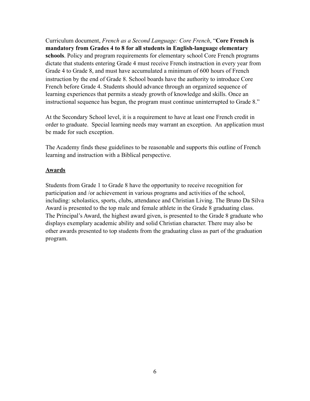Curriculum document, *French as a Second Language: Core French*, "**Core French is mandatory from Grades 4 to 8 for all students in English-language elementary schools**. Policy and program requirements for elementary school Core French programs dictate that students entering Grade 4 must receive French instruction in every year from Grade 4 to Grade 8, and must have accumulated a minimum of 600 hours of French instruction by the end of Grade 8. School boards have the authority to introduce Core French before Grade 4. Students should advance through an organized sequence of learning experiences that permits a steady growth of knowledge and skills. Once an instructional sequence has begun, the program must continue uninterrupted to Grade 8."

At the Secondary School level, it is a requirement to have at least one French credit in order to graduate. Special learning needs may warrant an exception. An application must be made for such exception.

The Academy finds these guidelines to be reasonable and supports this outline of French learning and instruction with a Biblical perspective.

#### **Awards**

Students from Grade 1 to Grade 8 have the opportunity to receive recognition for participation and /or achievement in various programs and activities of the school, including: scholastics, sports, clubs, attendance and Christian Living. The Bruno Da Silva Award is presented to the top male and female athlete in the Grade 8 graduating class. The Principal's Award, the highest award given, is presented to the Grade 8 graduate who displays exemplary academic ability and solid Christian character. There may also be other awards presented to top students from the graduating class as part of the graduation program.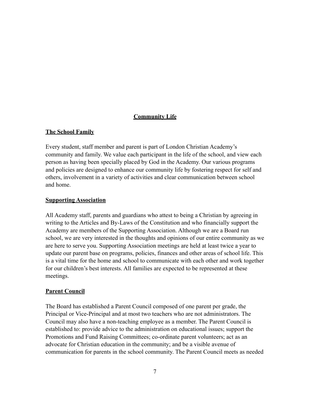## **Community Life**

## **The School Family**

Every student, staff member and parent is part of London Christian Academy's community and family. We value each participant in the life of the school, and view each person as having been specially placed by God in the Academy. Our various programs and policies are designed to enhance our community life by fostering respect for self and others, involvement in a variety of activities and clear communication between school and home.

## **Supporting Association**

All Academy staff, parents and guardians who attest to being a Christian by agreeing in writing to the Articles and By-Laws of the Constitution and who financially support the Academy are members of the Supporting Association. Although we are a Board run school, we are very interested in the thoughts and opinions of our entire community as we are here to serve you. Supporting Association meetings are held at least twice a year to update our parent base on programs, policies, finances and other areas of school life. This is a vital time for the home and school to communicate with each other and work together for our children's best interests. All families are expected to be represented at these meetings.

# **Parent Council**

The Board has established a Parent Council composed of one parent per grade, the Principal or Vice-Principal and at most two teachers who are not administrators. The Council may also have a non-teaching employee as a member. The Parent Council is established to: provide advice to the administration on educational issues; support the Promotions and Fund Raising Committees; co-ordinate parent volunteers; act as an advocate for Christian education in the community; and be a visible avenue of communication for parents in the school community. The Parent Council meets as needed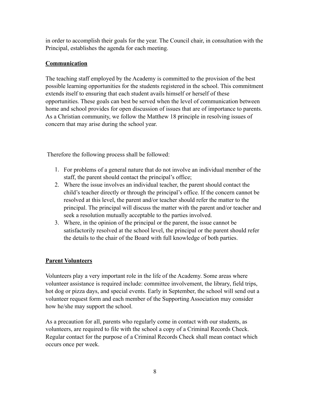in order to accomplish their goals for the year. The Council chair, in consultation with the Principal, establishes the agenda for each meeting.

## **Communication**

The teaching staff employed by the Academy is committed to the provision of the best possible learning opportunities for the students registered in the school. This commitment extends itself to ensuring that each student avails himself or herself of these opportunities. These goals can best be served when the level of communication between home and school provides for open discussion of issues that are of importance to parents. As a Christian community, we follow the Matthew 18 principle in resolving issues of concern that may arise during the school year.

Therefore the following process shall be followed:

- 1. For problems of a general nature that do not involve an individual member of the staff, the parent should contact the principal's office;
- 2. Where the issue involves an individual teacher, the parent should contact the child's teacher directly or through the principal's office. If the concern cannot be resolved at this level, the parent and/or teacher should refer the matter to the principal. The principal will discuss the matter with the parent and/or teacher and seek a resolution mutually acceptable to the parties involved.
- 3. Where, in the opinion of the principal or the parent, the issue cannot be satisfactorily resolved at the school level, the principal or the parent should refer the details to the chair of the Board with full knowledge of both parties.

# **Parent Volunteers**

Volunteers play a very important role in the life of the Academy. Some areas where volunteer assistance is required include: committee involvement, the library, field trips, hot dog or pizza days, and special events. Early in September, the school will send out a volunteer request form and each member of the Supporting Association may consider how he/she may support the school.

As a precaution for all, parents who regularly come in contact with our students, as volunteers, are required to file with the school a copy of a Criminal Records Check. Regular contact for the purpose of a Criminal Records Check shall mean contact which occurs once per week.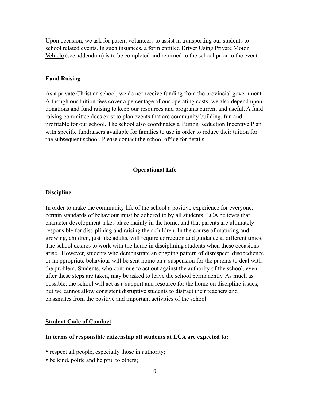Upon occasion, we ask for parent volunteers to assist in transporting our students to school related events. In such instances, a form entitled Driver Using Private Motor Vehicle (see addendum) is to be completed and returned to the school prior to the event.

#### **Fund Raising**

As a private Christian school, we do not receive funding from the provincial government. Although our tuition fees cover a percentage of our operating costs, we also depend upon donations and fund raising to keep our resources and programs current and useful. A fund raising committee does exist to plan events that are community building, fun and profitable for our school. The school also coordinates a Tuition Reduction Incentive Plan with specific fundraisers available for families to use in order to reduce their tuition for the subsequent school. Please contact the school office for details.

#### **Operational Life**

#### **Discipline**

In order to make the community life of the school a positive experience for everyone, certain standards of behaviour must be adhered to by all students. LCA believes that character development takes place mainly in the home, and that parents are ultimately responsible for disciplining and raising their children. In the course of maturing and growing, children, just like adults, will require correction and guidance at different times. The school desires to work with the home in disciplining students when these occasions arise. However, students who demonstrate an ongoing pattern of disrespect, disobedience or inappropriate behaviour will be sent home on a suspension for the parents to deal with the problem. Students, who continue to act out against the authority of the school, even after these steps are taken, may be asked to leave the school permanently. As much as possible, the school will act as a support and resource for the home on discipline issues, but we cannot allow consistent disruptive students to distract their teachers and classmates from the positive and important activities of the school.

#### **Student Code of Conduct**

#### **In terms of responsible citizenship all students at LCA are expected to:**

- respect all people, especially those in authority;
- be kind, polite and helpful to others;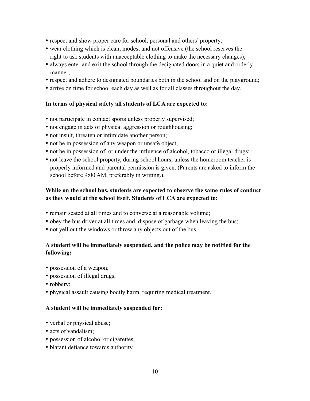- respect and show proper care for school, personal and others' property;
- wear clothing which is clean, modest and not offensive (the school reserves the right to ask students with unacceptable clothing to make the necessary changes);
- always enter and exit the school through the designated doors in a quiet and orderly manner;
- respect and adhere to designated boundaries both in the school and on the playground;
- arrive on time for school each day as well as for all classes throughout the day.

## **In terms of physical safety all students of LCA are expected to:**

- not participate in contact sports unless properly supervised;
- not engage in acts of physical aggression or roughhousing;
- not insult, threaten or intimidate another person;
- not be in possession of any weapon or unsafe object;
- not be in possession of, or under the influence of alcohol, tobacco or illegal drugs;
- not leave the school property, during school hours, unless the homeroom teacher is properly informed and parental permission is given. (Parents are asked to inform the school before 9:00 AM, preferably in writing.).

## **While on the school bus, students are expected to observe the same rules of conduct as they would at the school itself. Students of LCA are expected to:**

- remain seated at all times and to converse at a reasonable volume;
- obey the bus driver at all times and dispose of garbage when leaving the bus;
- not yell out the windows or throw any objects out of the bus.

## **A student will be immediately suspended, and the police may be notified for the following:**

- possession of a weapon;
- possession of illegal drugs;
- robbery;
- physical assault causing bodily harm, requiring medical treatment.

#### **A student will be immediately suspended for:**

- verbal or physical abuse;
- acts of vandalism;
- possession of alcohol or cigarettes;
- blatant defiance towards authority.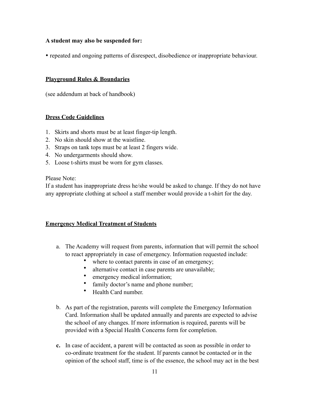## **A student may also be suspended for:**

• repeated and ongoing patterns of disrespect, disobedience or inappropriate behaviour.

#### **Playground Rules & Boundaries**

(see addendum at back of handbook)

## **Dress Code Guidelines**

- 1. Skirts and shorts must be at least finger-tip length.
- 2. No skin should show at the waistline.
- 3. Straps on tank tops must be at least 2 fingers wide.
- 4. No undergarments should show.
- 5. Loose t-shirts must be worn for gym classes.

Please Note:

If a student has inappropriate dress he/she would be asked to change. If they do not have any appropriate clothing at school a staff member would provide a t-shirt for the day.

## **Emergency Medical Treatment of Students**

- a. The Academy will request from parents, information that will permit the school to react appropriately in case of emergency. Information requested include:
	- where to contact parents in case of an emergency;
	- alternative contact in case parents are unavailable;
	- emergency medical information;
	- family doctor's name and phone number;
	- Health Card number.
- b. As part of the registration, parents will complete the Emergency Information Card. Information shall be updated annually and parents are expected to advise the school of any changes. If more information is required, parents will be provided with a Special Health Concerns form for completion.
- **c.** In case of accident, a parent will be contacted as soon as possible in order to co-ordinate treatment for the student. If parents cannot be contacted or in the opinion of the school staff, time is of the essence, the school may act in the best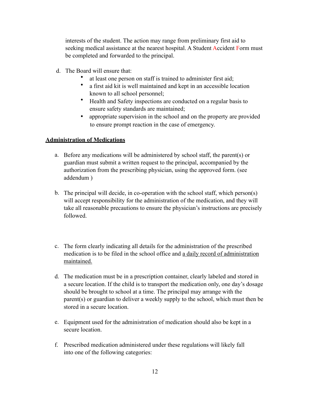interests of the student. The action may range from preliminary first aid to seeking medical assistance at the nearest hospital. A Student Accident Form must be completed and forwarded to the principal.

- d. The Board will ensure that:
	- at least one person on staff is trained to administer first aid;
	- a first aid kit is well maintained and kept in an accessible location known to all school personnel;
	- Health and Safety inspections are conducted on a regular basis to ensure safety standards are maintained;
	- appropriate supervision in the school and on the property are provided to ensure prompt reaction in the case of emergency.

## **Administration of Medications**

- a. Before any medications will be administered by school staff, the parent(s) or guardian must submit a written request to the principal, accompanied by the authorization from the prescribing physician, using the approved form. (see addendum )
- b. The principal will decide, in co-operation with the school staff, which person(s) will accept responsibility for the administration of the medication, and they will take all reasonable precautions to ensure the physician's instructions are precisely followed.
- c. The form clearly indicating all details for the administration of the prescribed medication is to be filed in the school office and a daily record of administration maintained.
- d. The medication must be in a prescription container, clearly labeled and stored in a secure location. If the child is to transport the medication only, one day's dosage should be brought to school at a time. The principal may arrange with the parent(s) or guardian to deliver a weekly supply to the school, which must then be stored in a secure location.
- e. Equipment used for the administration of medication should also be kept in a secure location
- f. Prescribed medication administered under these regulations will likely fall into one of the following categories: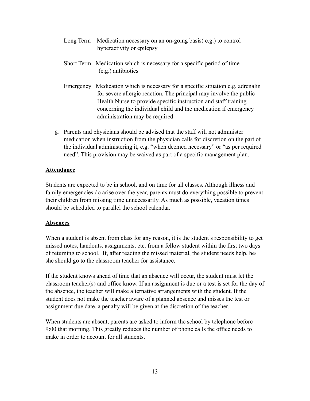- Long Term Medication necessary on an on-going basis( e.g.) to control hyperactivity or epilepsy
- Short Term Medication which is necessary for a specific period of time (e.g.) antibiotics
- Emergency Medication which is necessary for a specific situation e.g. adrenalin for severe allergic reaction. The principal may involve the public Health Nurse to provide specific instruction and staff training concerning the individual child and the medication if emergency administration may be required.
- g. Parents and physicians should be advised that the staff will not administer medication when instruction from the physician calls for discretion on the part of the individual administering it, e.g. "when deemed necessary" or "as per required need". This provision may be waived as part of a specific management plan.

## **Attendance**

Students are expected to be in school, and on time for all classes. Although illness and family emergencies do arise over the year, parents must do everything possible to prevent their children from missing time unnecessarily. As much as possible, vacation times should be scheduled to parallel the school calendar.

#### **Absences**

When a student is absent from class for any reason, it is the student's responsibility to get missed notes, handouts, assignments, etc. from a fellow student within the first two days of returning to school. If, after reading the missed material, the student needs help, he/ she should go to the classroom teacher for assistance.

If the student knows ahead of time that an absence will occur, the student must let the classroom teacher(s) and office know. If an assignment is due or a test is set for the day of the absence, the teacher will make alternative arrangements with the student. If the student does not make the teacher aware of a planned absence and misses the test or assignment due date, a penalty will be given at the discretion of the teacher.

When students are absent, parents are asked to inform the school by telephone before 9:00 that morning. This greatly reduces the number of phone calls the office needs to make in order to account for all students.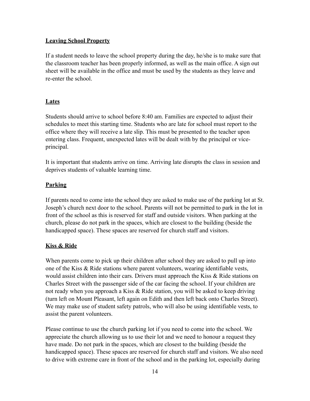## **Leaving School Property**

If a student needs to leave the school property during the day, he/she is to make sure that the classroom teacher has been properly informed, as well as the main office. A sign out sheet will be available in the office and must be used by the students as they leave and re-enter the school.

# **Lates**

Students should arrive to school before 8:40 am. Families are expected to adjust their schedules to meet this starting time. Students who are late for school must report to the office where they will receive a late slip. This must be presented to the teacher upon entering class. Frequent, unexpected lates will be dealt with by the principal or viceprincipal.

It is important that students arrive on time. Arriving late disrupts the class in session and deprives students of valuable learning time.

# **Parking**

If parents need to come into the school they are asked to make use of the parking lot at St. Joseph's church next door to the school. Parents will not be permitted to park in the lot in front of the school as this is reserved for staff and outside visitors. When parking at the church, please do not park in the spaces, which are closest to the building (beside the handicapped space). These spaces are reserved for church staff and visitors.

# **Kiss & Ride**

When parents come to pick up their children after school they are asked to pull up into one of the Kiss & Ride stations where parent volunteers, wearing identifiable vests, would assist children into their cars. Drivers must approach the Kiss & Ride stations on Charles Street with the passenger side of the car facing the school. If your children are not ready when you approach a Kiss & Ride station, you will be asked to keep driving (turn left on Mount Pleasant, left again on Edith and then left back onto Charles Street). We may make use of student safety patrols, who will also be using identifiable vests, to assist the parent volunteers.

Please continue to use the church parking lot if you need to come into the school. We appreciate the church allowing us to use their lot and we need to honour a request they have made. Do not park in the spaces, which are closest to the building (beside the handicapped space). These spaces are reserved for church staff and visitors. We also need to drive with extreme care in front of the school and in the parking lot, especially during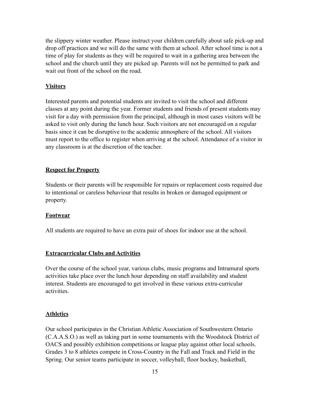the slippery winter weather. Please instruct your children carefully about safe pick-up and drop off practices and we will do the same with them at school. After school time is not a time of play for students as they will be required to wait in a gathering area between the school and the church until they are picked up. Parents will not be permitted to park and wait out front of the school on the road.

## **Visitors**

Interested parents and potential students are invited to visit the school and different classes at any point during the year. Former students and friends of present students may visit for a day with permission from the principal, although in most cases visitors will be asked to visit only during the lunch hour. Such visitors are not encouraged on a regular basis since it can be disruptive to the academic atmosphere of the school. All visitors must report to the office to register when arriving at the school. Attendance of a visitor in any classroom is at the discretion of the teacher.

## **Respect for Property**

Students or their parents will be responsible for repairs or replacement costs required due to intentional or careless behaviour that results in broken or damaged equipment or property.

#### **Footwear**

All students are required to have an extra pair of shoes for indoor use at the school.

## **Extracurricular Clubs and Activities**

Over the course of the school year, various clubs, music programs and Intramural sports activities take place over the lunch hour depending on staff availability and student interest. Students are encouraged to get involved in these various extra-curricular activities.

## **Athletics**

Our school participates in the Christian Athletic Association of Southwestern Ontario (C.A.A.S.O.) as well as taking part in some tournaments with the Woodstock District of OACS and possibly exhibition competitions or league play against other local schools. Grades 3 to 8 athletes compete in Cross-Country in the Fall and Track and Field in the Spring. Our senior teams participate in soccer, volleyball, floor hockey, basketball,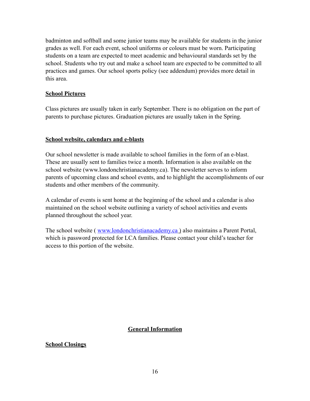badminton and softball and some junior teams may be available for students in the junior grades as well. For each event, school uniforms or colours must be worn. Participating students on a team are expected to meet academic and behavioural standards set by the school. Students who try out and make a school team are expected to be committed to all practices and games. Our school sports policy (see addendum) provides more detail in this area.

## **School Pictures**

Class pictures are usually taken in early September. There is no obligation on the part of parents to purchase pictures. Graduation pictures are usually taken in the Spring.

## **School website, calendars and e-blasts**

Our school newsletter is made available to school families in the form of an e-blast. These are usually sent to families twice a month. Information is also available on the school website (www.londonchristianacademy.ca). The newsletter serves to inform parents of upcoming class and school events, and to highlight the accomplishments of our students and other members of the community.

A calendar of events is sent home at the beginning of the school and a calendar is also maintained on the school website outlining a variety of school activities and events planned throughout the school year.

The school website (*[www.londonchristianacademy.ca](http://www.londonchristianacademy.ca)*) also maintains a Parent Portal, which is password protected for LCA families. Please contact your child's teacher for access to this portion of the website.

## **General Information**

#### **School Closings**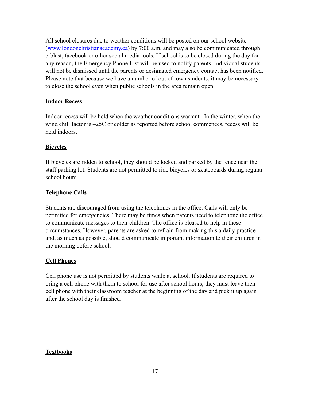All school closures due to weather conditions will be posted on our school website ([www.londonchristianacademy.ca](http://www.londonchristianacademy.ca)) by 7:00 a.m. and may also be communicated through e-blast, facebook or other social media tools. If school is to be closed during the day for any reason, the Emergency Phone List will be used to notify parents. Individual students will not be dismissed until the parents or designated emergency contact has been notified. Please note that because we have a number of out of town students, it may be necessary to close the school even when public schools in the area remain open.

## **Indoor Recess**

Indoor recess will be held when the weather conditions warrant. In the winter, when the wind chill factor is –25C or colder as reported before school commences, recess will be held indoors.

## **Bicycles**

If bicycles are ridden to school, they should be locked and parked by the fence near the staff parking lot. Students are not permitted to ride bicycles or skateboards during regular school hours.

## **Telephone Calls**

Students are discouraged from using the telephones in the office. Calls will only be permitted for emergencies. There may be times when parents need to telephone the office to communicate messages to their children. The office is pleased to help in these circumstances. However, parents are asked to refrain from making this a daily practice and, as much as possible, should communicate important information to their children in the morning before school.

## **Cell Phones**

Cell phone use is not permitted by students while at school. If students are required to bring a cell phone with them to school for use after school hours, they must leave their cell phone with their classroom teacher at the beginning of the day and pick it up again after the school day is finished.

# **Textbooks**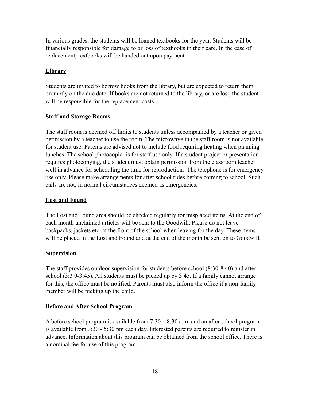In various grades, the students will be loaned textbooks for the year. Students will be financially responsible for damage to or loss of textbooks in their care. In the case of replacement, textbooks will be handed out upon payment.

## **Library**

Students are invited to borrow books from the library, but are expected to return them promptly on the due date. If books are not returned to the library, or are lost, the student will be responsible for the replacement costs.

## **Staff and Storage Rooms**

The staff room is deemed off limits to students unless accompanied by a teacher or given permission by a teacher to use the room. The microwave in the staff room is not available for student use. Parents are advised not to include food requiring heating when planning lunches. The school photocopier is for staff use only. If a student project or presentation requires photocopying, the student must obtain permission from the classroom teacher well in advance for scheduling the time for reproduction. The telephone is for emergency use only. Please make arrangements for after school rides before coming to school. Such calls are not, in normal circumstances deemed as emergencies.

## **Lost and Found**

The Lost and Found area should be checked regularly for misplaced items. At the end of each month unclaimed articles will be sent to the Goodwill. Please do not leave backpacks, jackets etc. at the front of the school when leaving for the day. These items will be placed in the Lost and Found and at the end of the month be sent on to Goodwill.

## **Supervision**

The staff provides outdoor supervision for students before school (8:30-8:40) and after school (3:3 0-3:45). All students must be picked up by 3:45. If a family cannot arrange for this, the office must be notified. Parents must also inform the office if a non-family member will be picking up the child.

## **Before and After School Program**

A before school program is available from 7:30 – 8:30 a.m. and an after school program is available from 3:30 - 5:30 pm each day. Interested parents are required to register in advance. Information about this program can be obtained from the school office. There is a nominal fee for use of this program.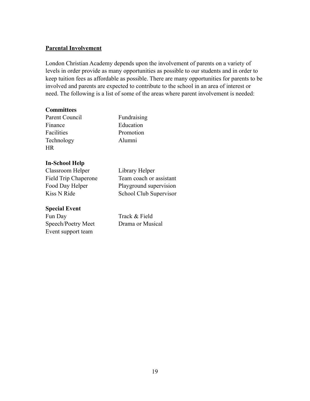## **Parental Involvement**

London Christian Academy depends upon the involvement of parents on a variety of levels in order provide as many opportunities as possible to our students and in order to keep tuition fees as affordable as possible. There are many opportunities for parents to be involved and parents are expected to contribute to the school in an area of interest or need. The following is a list of some of the areas where parent involvement is needed:

#### **Committees**

Parent Council Fundraising Finance Education Facilities Promotion Technology Alumni HR

## **In-School Help**

Classroom Helper Library Helper

#### **Special Event**

Fun Day Track & Field Speech/Poetry Meet Drama or Musical Event support team

Field Trip Chaperone Team coach or assistant Food Day Helper Playground supervision Kiss N Ride School Club Supervisor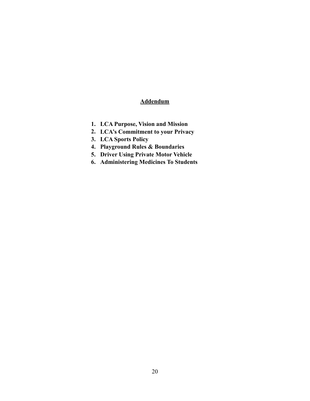# **Addendum**

- **1. LCA Purpose, Vision and Mission**
- **2. LCA's Commitment to your Privacy**
- **3. LCA Sports Policy**
- **4. Playground Rules & Boundaries**
- **5. Driver Using Private Motor Vehicle**
- **6. Administering Medicines To Students**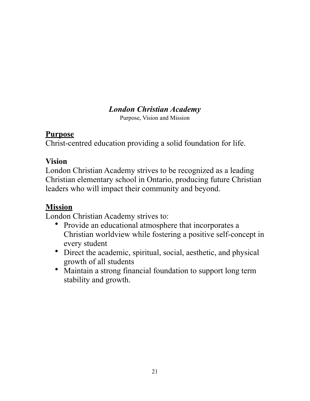# *London Christian Academy*

Purpose, Vision and Mission

# **Purpose**

Christ-centred education providing a solid foundation for life.

# **Vision**

London Christian Academy strives to be recognized as a leading Christian elementary school in Ontario, producing future Christian leaders who will impact their community and beyond.

# **Mission**

London Christian Academy strives to:

- Provide an educational atmosphere that incorporates a Christian worldview while fostering a positive self-concept in every student
- Direct the academic, spiritual, social, aesthetic, and physical growth of all students
- Maintain a strong financial foundation to support long term stability and growth.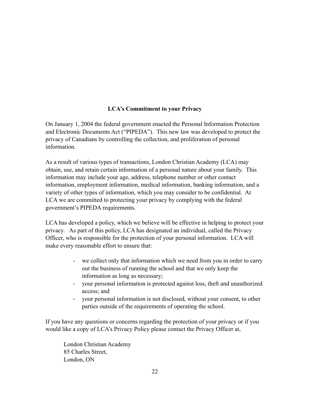# **LCA's Commitment to your Privacy**

On January 1, 2004 the federal government enacted the Personal Information Protection and Electronic Documents Act ("PIPEDA"). This new law was developed to protect the privacy of Canadians by controlling the collection, and proliferation of personal information.

As a result of various types of transactions, London Christian Academy (LCA) may obtain, use, and retain certain information of a personal nature about your family. This information may include your age, address, telephone number or other contact information, employment information, medical information, banking information, and a variety of other types of information, which you may consider to be confidential. At LCA we are committed to protecting your privacy by complying with the federal government's PIPEDA requirements.

LCA has developed a policy, which we believe will be effective in helping to protect your privacy. As part of this policy, LCA has designated an individual, called the Privacy Officer, who is responsible for the protection of your personal information. LCA will make every reasonable effort to ensure that:

- we collect only that information which we need from you in order to carry out the business of running the school and that we only keep the information as long as necessary;
- your personal information is protected against loss, theft and unauthorized access; and
- your personal information is not disclosed, without your consent, to other parties outside of the requirements of operating the school.

If you have any questions or concerns regarding the protection of your privacy or if you would like a copy of LCA's Privacy Policy please contact the Privacy Officer at,

 London Christian Academy 85 Charles Street, London, ON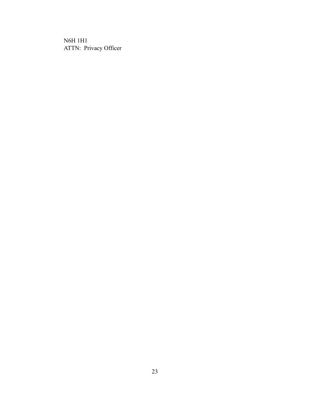N6H 1H1 ATTN: Privacy Officer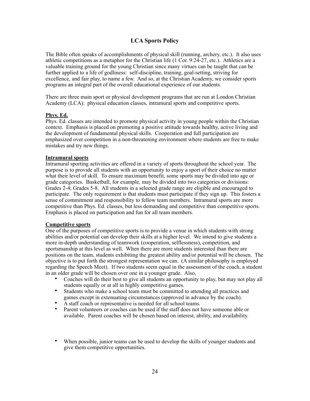## **LCA Sports Policy**

The Bible often speaks of accomplishments of physical skill (running, archery, etc.). It also uses athletic competitions as a metaphor for the Christian life (1 Cor. 9:24-27, etc.). Athletics are a valuable training ground for the young Christian since many virtues can be taught that can be further applied to a life of godliness: self-discipline, training, goal-setting, striving for excellence, and fair play, to name a few. And so, at the Christian Academy, we consider sports programs an integral part of the overall educational experience of our students.

There are three main sport or physical development programs that are run at London Christian Academy (LCA): physical education classes, intramural sports and competitive sports.

#### **Phys. Ed.**

Phys. Ed. classes are intended to promote physical activity in young people within the Christian context. Emphasis is placed on promoting a positive attitude towards healthy, active living and the development of fundamental physical skills. Cooperation and full participation are emphasized over competition in a non-threatening environment where students are free to make mistakes and try new things.

#### **Intramural sports**

Intramural sporting activities are offered in a variety of sports throughout the school year. The purpose is to provide all students with an opportunity to enjoy a sport of their choice no matter what their level of skill. To ensure maximum benefit, some sports may be divided into age or grade categories. Basketball, for example, may be divided into two categories or divisions: Grades 2-4; Grades 5-8. All students in a selected grade range are eligible and encouraged to participate. The only requirement is that students must participate if they sign up. This fosters a sense of commitment and responsibility to fellow team members. Intramural sports are more competitive than Phys. Ed. classes, but less demanding and competitive than competitive sports. Emphasis is placed on participation and fun for all team members.

#### **Competitive sports**

One of the purposes of competitive sports is to provide a venue in which students with strong abilities and/or potential can develop their skills at a higher level. We intend to give students a more in-depth understanding of teamwork (cooperation, selflessness), competition, and sportsmanship at this level as well. When there are more students interested than there are positions on the team, students exhibiting the greatest ability and/or potential will be chosen. The objective is to put forth the strongest representation we can. (A similar philosophy is employed regarding the Speech Meet). If two students seem equal in the assessment of the coach, a student in an older grade will be chosen over one in a younger grade. Also,

- Coaches will do their best to give all students an opportunity to play, but may not play all students equally or at all in highly competitive games.
- Students who make a school team must be committed to attending all practices and games except in extenuating circumstances (approved in advance by the coach).
- A staff coach or representative is needed for all school teams.
- Parent volunteers or coaches can be used if the staff does not have someone able or available. Parent coaches will be chosen based on interest, ability, and availability.
- When possible, junior teams can be used to develop the skills of younger students and give them competitive opportunities.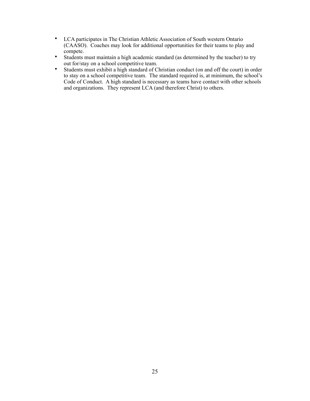- LCA participates in The Christian Athletic Association of South western Ontario (CAASO). Coaches may look for additional opportunities for their teams to play and compete.
- Students must maintain a high academic standard (as determined by the teacher) to try out for/stay on a school competitive team.
- Students must exhibit a high standard of Christian conduct (on and off the court) in order to stay on a school competitive team. The standard required is, at minimum, the school's Code of Conduct. A high standard is necessary as teams have contact with other schools and organizations. They represent LCA (and therefore Christ) to others.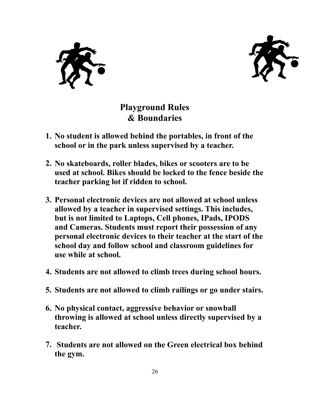



**Playground Rules & Boundaries** 

- **1. No student is allowed behind the portables, in front of the school or in the park unless supervised by a teacher.**
- **2. No skateboards, roller blades, bikes or scooters are to be used at school. Bikes should be locked to the fence beside the teacher parking lot if ridden to school.**
- **3. Personal electronic devices are not allowed at school unless allowed by a teacher in supervised settings. This includes, but is not limited to Laptops, Cell phones, IPads, IPODS and Cameras. Students must report their possession of any personal electronic devices to their teacher at the start of the school day and follow school and classroom guidelines for use while at school.**
- **4. Students are not allowed to climb trees during school hours.**
- **5. Students are not allowed to climb railings or go under stairs.**
- **6. No physical contact, aggressive behavior or snowball throwing is allowed at school unless directly supervised by a teacher.**
- **7. Students are not allowed on the Green electrical box behind the gym.**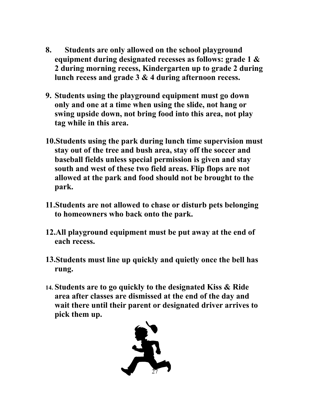- **8. Students are only allowed on the school playground equipment during designated recesses as follows: grade 1 & 2 during morning recess, Kindergarten up to grade 2 during lunch recess and grade 3 & 4 during afternoon recess.**
- **9. Students using the playground equipment must go down only and one at a time when using the slide, not hang or swing upside down, not bring food into this area, not play tag while in this area.**
- **10.Students using the park during lunch time supervision must stay out of the tree and bush area, stay off the soccer and baseball fields unless special permission is given and stay south and west of these two field areas. Flip flops are not allowed at the park and food should not be brought to the park.**
- **11.Students are not allowed to chase or disturb pets belonging to homeowners who back onto the park.**
- **12.All playground equipment must be put away at the end of each recess.**
- **13.Students must line up quickly and quietly once the bell has rung.**
- **14. Students are to go quickly to the designated Kiss & Ride area after classes are dismissed at the end of the day and wait there until their parent or designated driver arrives to pick them up.**

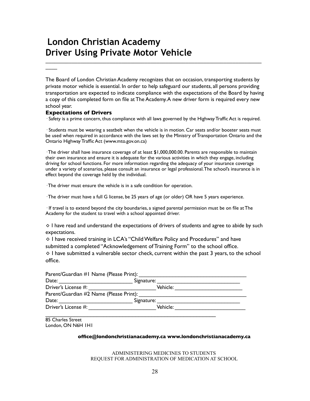# **London Christian Academy Driver Using Private Motor Vehicle**

The Board of London Christian Academy recognizes that on occasion, transporting students by private motor vehicle is essential. In order to help safeguard our students, all persons providing transportation are expected to indicate compliance with the expectations of the Board by having a copy of this completed form on file at The Academy. A new driver form is required every new school year.

\_\_\_\_\_\_\_\_\_\_\_\_\_\_\_\_\_\_\_\_\_\_\_\_\_\_\_\_\_\_\_\_\_\_\_\_\_\_\_\_\_\_\_\_\_\_\_\_\_\_\_\_\_\_\_\_\_\_\_\_\_\_\_\_\_\_\_\_\_\_\_\_\_\_

#### **Expectations of Drivers**

 $\overline{\phantom{a}}$ 

· Safety is a prime concern, thus compliance with all laws governed by the Highway Traffic Act is required.

· Students must be wearing a seatbelt when the vehicle is in motion. Car seats and/or booster seats must be used when required in accordance with the laws set by the Ministry of Transportation Ontario and the Ontario Highway Traffic Act (www.mto.gov.on.ca)

· The driver shall have insurance coverage of at least \$1,000,000.00. Parents are responsible to maintain their own insurance and ensure it is adequate for the various activities in which they engage, including driving for school functions. For more information regarding the adequacy of your insurance coverage under a variety of scenarios, please consult an insurance or legal professional. The school's insurance is in effect beyond the coverage held by the individual.

· The driver must ensure the vehicle is in a safe condition for operation.

· The driver must have a full G license, be 25 years of age (or older) OR have 5 years experience.

· If travel is to extend beyond the city boundaries, a signed parental permission must be on file at The Academy for the student to travel with a school appointed driver.

 $\diamond$  I have read and understand the expectations of drivers of students and agree to abide by such expectations.

◊ I have received training in LCA's "Child Welfare Policy and Procedures" and have submitted a completed "Acknowledgement of Training Form" to the school office.

◊ I have submitted a vulnerable sector check, current within the past 3 years, to the school office.

| Parent/Guardian #1 Name (Please Print): |            |  |
|-----------------------------------------|------------|--|
| Date:                                   | Signature: |  |
| Driver's License #:                     | Vehicle:   |  |
| Parent/Guardian #2 Name (Please Print): |            |  |
| Date:                                   | Signature: |  |
| Driver's License #:                     | Vehicle:   |  |
|                                         |            |  |

85 Charles Street London, ON N6H 1H1

#### **office@londonchristianacademy.ca www.londonchristianacademy.ca**

ADMINISTERING MEDICINES TO STUDENTS REQUEST FOR ADMINISTRATION OF MEDICATION AT SCHOOL